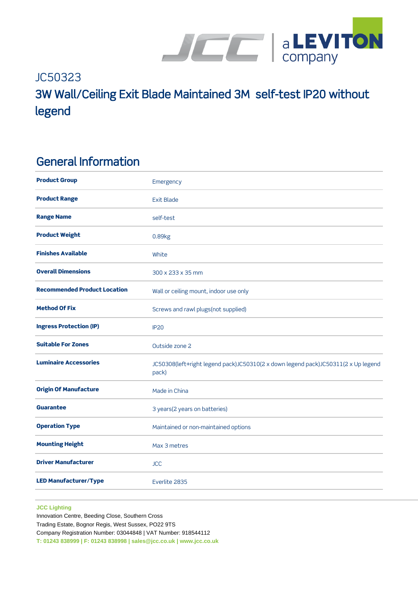

# JC50323 3W Wall/Ceiling Exit Blade Maintained 3M self-test IP20 without legend

### General Information

| <b>Product Group</b>                | Emergency                                                                                  |
|-------------------------------------|--------------------------------------------------------------------------------------------|
| <b>Product Range</b>                | <b>Exit Blade</b>                                                                          |
| <b>Range Name</b>                   | self-test                                                                                  |
| <b>Product Weight</b>               | 0.89kg                                                                                     |
| <b>Finishes Available</b>           | White                                                                                      |
| <b>Overall Dimensions</b>           | 300 x 233 x 35 mm                                                                          |
| <b>Recommended Product Location</b> | Wall or ceiling mount, indoor use only                                                     |
| <b>Method Of Fix</b>                | Screws and rawl plugs(not supplied)                                                        |
| <b>Ingress Protection (IP)</b>      | <b>IP20</b>                                                                                |
| <b>Suitable For Zones</b>           | Outside zone 2                                                                             |
| <b>Luminaire Accessories</b>        | JC50308(left+right legend pack)JC50310(2 x down legend pack)JC50311(2 x Up legend<br>pack) |
| <b>Origin Of Manufacture</b>        | Made in China                                                                              |
| <b>Guarantee</b>                    | 3 years(2 years on batteries)                                                              |
| <b>Operation Type</b>               | Maintained or non-maintained options                                                       |
| <b>Mounting Height</b>              | Max 3 metres                                                                               |
| <b>Driver Manufacturer</b>          | <b>JCC</b>                                                                                 |
| <b>LED Manufacturer/Type</b>        | Everlite 2835                                                                              |
|                                     |                                                                                            |

#### **JCC Lighting**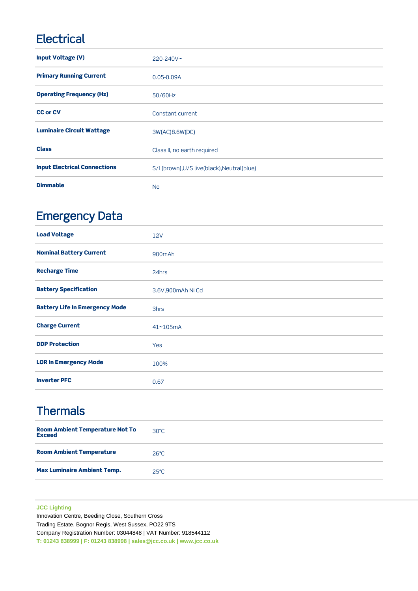## **Electrical**

| <b>Input Voltage (V)</b>            | $220 - 240V$ ~                             |
|-------------------------------------|--------------------------------------------|
| <b>Primary Running Current</b>      | $0.05 - 0.09A$                             |
| <b>Operating Frequency (Hz)</b>     | 50/60Hz                                    |
| <b>CC or CV</b>                     | Constant current                           |
| <b>Luminaire Circuit Wattage</b>    | 3W(AC)8.6W(DC)                             |
| <b>Class</b>                        | Class II, no earth required                |
| <b>Input Electrical Connections</b> | S/L(brown), U/S live(black), Neutral(blue) |
| <b>Dimmable</b>                     | <b>No</b>                                  |

## Emergency Data

| <b>Load Voltage</b>                   | <b>12V</b>        |
|---------------------------------------|-------------------|
| <b>Nominal Battery Current</b>        | 900mAh            |
| <b>Recharge Time</b>                  | 24hrs             |
| <b>Battery Specification</b>          | 3.6V,900mAh Ni Cd |
| <b>Battery Life In Emergency Mode</b> | 3hrs              |
| <b>Charge Current</b>                 | 41~105mA          |
| <b>DDP Protection</b>                 | Yes               |
| <b>LOR In Emergency Mode</b>          | 100%              |
| <b>Inverter PFC</b>                   | 0.67              |

## **Thermals**

| <b>Room Ambient Temperature Not To</b><br><b>Exceed</b> | $30^{\circ}$ C |
|---------------------------------------------------------|----------------|
| <b>Room Ambient Temperature</b>                         | $26^{\circ}$ C |
| <b>Max Luminaire Ambient Temp.</b>                      | $25^{\circ}$ C |

### **JCC Lighting**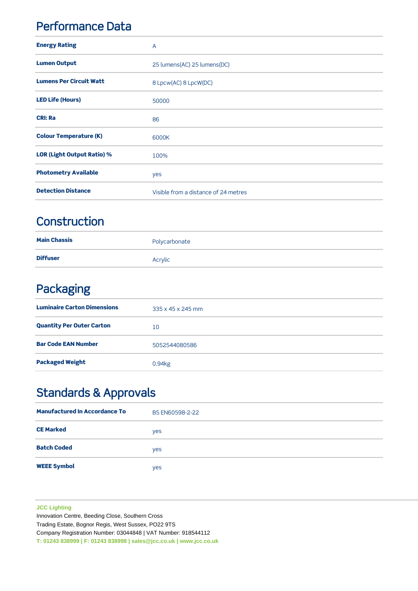### Performance Data

| <b>Energy Rating</b>              | $\overline{A}$                       |
|-----------------------------------|--------------------------------------|
| <b>Lumen Output</b>               | 25 lumens(AC) 25 lumens(DC)          |
| <b>Lumens Per Circuit Watt</b>    | 8 Lpcw(AC) 8 LpcW(DC)                |
| <b>LED Life (Hours)</b>           | 50000                                |
| <b>CRI: Ra</b>                    | 86                                   |
| <b>Colour Temperature (K)</b>     | 6000K                                |
| <b>LOR (Light Output Ratio) %</b> | 100%                                 |
| <b>Photometry Available</b>       | yes                                  |
| <b>Detection Distance</b>         | Visible from a distance of 24 metres |

### **Construction**

| <b>Main Chassis</b> | Polycarbonate |
|---------------------|---------------|
| <b>Diffuser</b>     | Acrylic       |

### Packaging

| <b>Luminaire Carton Dimensions</b> | 335 x 45 x 245 mm |
|------------------------------------|-------------------|
| <b>Quantity Per Outer Carton</b>   | 10                |
| <b>Bar Code EAN Number</b>         | 5052544080586     |
| <b>Packaged Weight</b>             | 0.94kg            |

## Standards & Approvals

| <b>Manufactured In Accordance To</b> | BS EN60598-2-22 |
|--------------------------------------|-----------------|
| <b>CE Marked</b>                     | yes             |
| <b>Batch Coded</b>                   | yes             |
| <b>WEEE Symbol</b>                   | yes             |

#### **JCC Lighting**